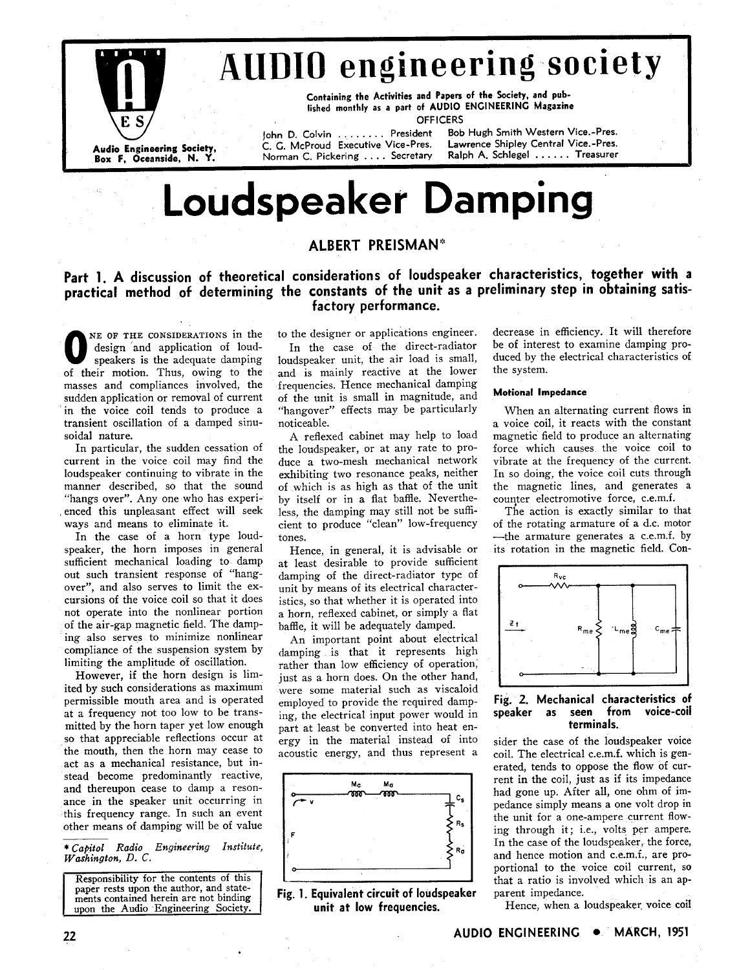

# **AUDIO engineering society**

**Containing the Activities and Papers of the Society, and published monthly as a part of AUDIO ENGINEERING Magazine OFFICERS** 

 $B$  **Borman C. Pickering . . . . Secretary** 

**john D. Colvin** . . . . . . . . **President Bob Hugh Smith Western Vice.-Pres. Audio Engineering Society, C. G. McProud Executive Vice-Pres. Lawrence Shipley Central Vice.-Pres.** 

# **Loudspeaker Damping**

## **ALBERT PREISMAN"**

## **Part 1. A discussion of theoretical considerations of loudspeaker characteristics, together with a practical method of determining the constants of the unit as a preliminary step in obtaining satisfactory performance.**

**1 NE OF THE CONSIDERATIONS in the design and application of loud-<br>speakers is the adequate damping** lesign and application of loudspeakers is the adequate damping of their motion. Thus, owing to the masses and compliances involved, the sudden application or removal of current in the voice coil tends to produce a transient oscillation of a damped sinusoidal nature.

In particular, the sudden cessation of current in the voice coil may find the loudspeaker continuing to vibrate in the manner described, so that the sound "hangs over". Any one who has experienced this unpleasant effect will seek ways and means to eliminate it.

In the case of a horn type loudspeaker, the horn imposes in general sufficient mechanical loading to damp out such transient response of "hangover", and also serves to limit the excursions of the voice coil so that it does not operate into the nonlinear portion of the air-gap magnetic field. The damping also serves to minimize nonlinear compliance of the suspension system by limiting the amplitude of oscillation.

However, if the horn design is limited by such considerations as maximum permissible mouth area and is operated at a frequency not too low to be transmitted by the horn taper yet low enough so that appreciable reflections occur at the mouth, then the horn may cease to act as a mechanical resistance, but instead become predominantly reactive, and thereupon cease to damp a resonance in the speaker unit occurring in this frequency range. In such an event other means of damping will be of value

# **\*** Capitol Radio Engineering Institute,<br>Washington, D. C.

Responsibility for the contents of this paper rests upon the author, and statements contained herein are not binding upon the Audio Engineering Society.

to the designer or applications engineer.

In the case of the direct-radiator loudspeaker unit, the air load is small, and is mainly reactive at the lower frequencies. Hence mechanical damping of the unit is small in magnitude, and "hangover" effects may be particularly noticeable.

A reflexed cabinet may help to load the loudspeaker, or at any rate to produce a two-mesh mechanical network exhibiting two resonance peaks, neither of which is as high as that of the unit by itself or in a flat baffle. Nevertheless, the damping may still not be sufficient to produce "clean" low-frequency tones.

Hence, in general, it is advisable or at least desirable to provide sufficient damping of the direct-radiator type of unit by means of its electrical characteristics, so that whether it is operated into a horn, reflexed cabinet, or simply a flat baffle, it will be adequately damped.

An important point about electrical damping is that it represents high rather than low efficiency of operation, just as a horn does. On the other hand, were some material such as viscaloid employed to provide the required damping, the electrical input power would in part at least be converted into heat energy in the material instead of into acoustic energy, and thus represent a



**Fig. 1. Equivalent circuit of loudspeaker unit at low frequencies.** 

decrease in efficiency. It will therefore be of interest to examine damping produced by the electrical characteristics of the system.

## **Motional Impedance**

When an alternating current flows in a voice coil, it reacts with the constant magnetic field to produce an alternating force which causes the voice coil to vibrate at the frequency of the current. In so doing, the voice coil cuts through the magnetic lines, and generates a counter electromotive force, c.e.m.f.

The action is exactly similar to that of the rotating armature of a d.c. motor -the armature generates a c.e.m.f. by its rotation in the magnetic field. Con-



## **Fig. 2. Mechanical characteristics of speaker as seen from voice-coil terminals.**

sider the case of the loudspeaker voice coil. The electrical c.e.m.f. which is generated, tends to oppose the flow of current in the coil, just as if its impedance had gone up. After all, one ohm of impedance simply means a one volt drop in the unit for a one-ampere current flowing through it; i.e., volts per ampere. In the case of the loudspeaker, the force, and hence motion and c.e.m.f., are proportional to the voice coil current, so that a ratio is involved which is an apparent impedance.

Hence, when a loudspeaker voice coil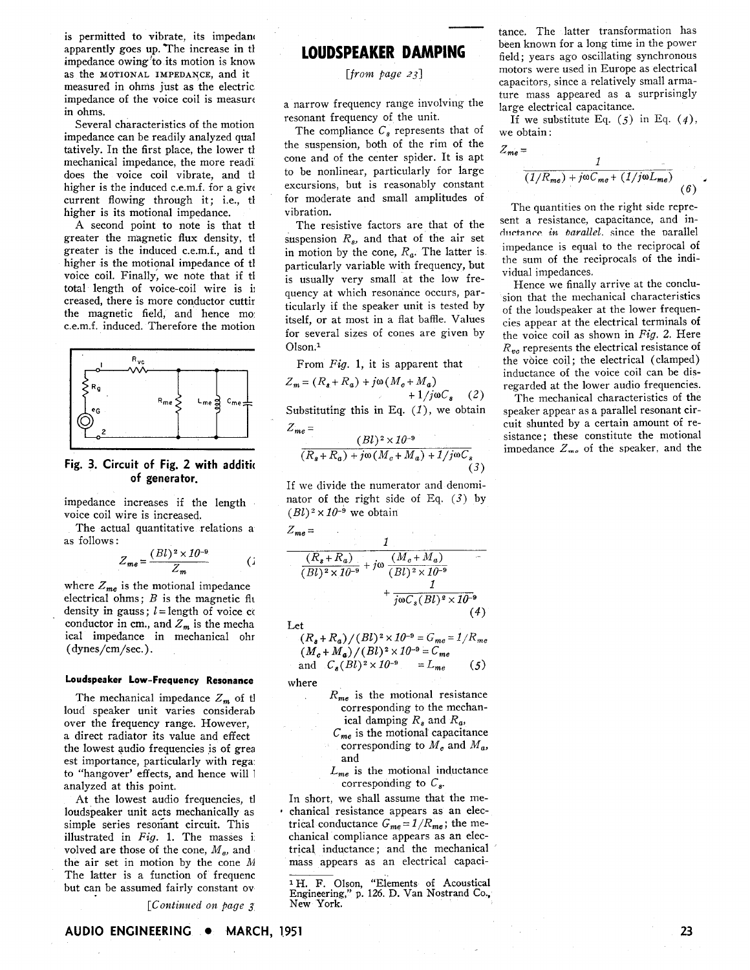is permitted to vibrate, its impedanc apparently goes up.The increase in tl impedance owing'to its motion is knou as the MOTIONAL IMPEDANCE, and it measured in ohms just as the electric impedance of the voice coil is measure in ohms.

Several characteristics of the motion impedance can be readily analyzed qua1 tatively. In the first place, the lower tl mechanical impedance, the more readi does the voice coil vibrate, and tl higher is the induced c.e.m.f. for a give current flowing through it; i.e., tl higher is its motional impedance.

A second point to note is that tl greater the magnetic flux density, tl greater is the induced c.e.m.f., and tl higher is the motional impedance of tl voice coil. Finally, we note that if tl total length of voice-coil wire is ij creased, there is more conductor cuttir the magnetic field, and hence mo c.e.m.f. induced. Therefore the motion



**Fig. 3. Circuit of Fig. 2 with additic of generator.** 

voice coil wire is increased.  $(Bl)^2 \times 10^{-9}$  we obtain

The actual quantitative relations a as follows: 1

$$
Z_{me} = \frac{(Bl)^2 \times 10^{-9}}{Z_m}
$$
 (i

where  $Z_{me}$  is the motional impedance electrical ohms;  $B$  is the magnetic flu density in gauss;  $l =$  length of voice coconductor in cm., and  $Z_m$  is the mecha ical impedance in mechanical ohr (dynes/cm/sec.) .

## **Loudspeaker Low-Frequency Resonance**

The mechanical impedance  $Z_m$  of tl loud speaker unit varies considerab over the frequency range. However, a direct radiator its value and effect the lowest audio frequencies is of grea est importance, particularly with rega to "hangover' effects, and hence will 1 analyzed at this point.

At the lowest audio frequencies, tl loudspeaker unit acts mechanically as simple series resonant circuit. This illustrated in **Fig.** 1. The masses i volved are those of the cone,  $M_e$ , and the air set in motion by the cone M The latter is a function of frequenc but can be assumed fairly constant ov

[Continued on **Page** 3

# **LOUDSPEAKER DAMPING**

### $[from page 23]$

a narrow frequency range involving the resonant frequency of the unit.

The compliance  $C_s$  represents that of the suspension, both of the rim of the cone and of the center spider. It is apt to be nonlinear, particularly for large excursions, but is reasonably constant for moderate and small amplitudes of vibration.

The resistive factors are that of the suspension  $R_s$ , and that of the air set in motion by the cone,  $R_a$ . The latter is. particularly variable with frequency, but is usually very small at the low frequency at which resonance occurs, particularly if the speaker unit is tested by itself, or at most in a flat baffle. Values for several sizes of cones are given by Olson.<sup>1</sup>

From Fig. 1, it is apparent that 
$$
\frac{1}{2} + \frac{1}{2} = 1
$$
.

$$
Z_m = (R_s + R_a) + j\omega (M_c + M_a)
$$

 $+1/j\omega C_s$  (2) Substituting this in Eq.  $(1)$ , we obtain

$$
Z_{me} = \frac{(Bl)^2 \times 10^{-9}}{(R_s + R_a) + j\omega (M_c + M_a) + 1/j\omega C_s}
$$
\n(3)

If we divide the numerator and denomiimpedance increases if the length nator of the right side of Eq.  $(3)$  by

$$
Z_{me} = \frac{1}{\frac{(R_s + R_a)}{(Bl)^2 \times 10^{-9}} + j\omega \frac{(M_o + M_a)}{(Bl)^2 \times 10^{-9}} + \frac{1}{j\omega C_s (Bl)^2 \times 10^{-9}}}
$$
(4)

Let

 $(R_{s}+R_{a})/(Bl)^{2} \times 10^{-9} = G_{me} = 1/R_{me}$  $(M_e + M_a)/(Bl)^2 \times 10^{-9} = C_{me}$ and  $C_s(Bl)^2 \times 10^{-9} = L_{me}$  (5)

where

- $R_{me}$  is the motional resistance corresponding to the mechanical damping  $R_s$  and  $R_a$ ,
	- $C_{me}$  is the motional capacitance corresponding to  $M_c$  and  $M_a$ , and
	- $L_{me}$  is the motional inductance corresponding to  $C_s$ .

In short, we shall assume that the me chanical resistance appears as an electrical conductance  $G_{me} = 1/R_{me}$ ; the mechanical compliance appears as an electrical inductance ; and the mechanical mass appears as an electrical capaci-

<sup>1</sup>H. F. Olson, "Elements of Acoustical Engineering," p. 126. D. Van Nostrand Co., New York.

tance. The latter transformation has been known for a long time in the power field; years ago oscillating synchronous motors were used in Europe as electrical capacitors, since a relatively small armature mass appeared as a surprisingly large electrical capacitance.

If we substitute Eq. *(5)* in Eq. *(4),*  we obtain :

$$
Z_{me} =
$$

$$
\frac{1}{(1/R_{me}) + j\omega C_{me} + (1/j\omega L_{me})}
$$
(6)

The quantities on the right side represent a resistance, capacitance, and inductance *in barallel*. since the parallel impedance is equal to the reciprocal of the sum of the reciprocals of the individual impedances.

Hence we finally arrive at the conclusion that the mechanical characteristics of the loudspeaker at the lower frequencies appear at the electrical terminals of the voice coil as shown in **Fig.** 2. Here  $R_{ve}$  represents the electrical resistance of the voice coil; the electrical (clamped) inductance of the voice coil can be disregarded at the lower audio frequencies.

The mechanical characteristics of the speaker appear as a parallel resonant circuit shunted by a certain amount of resistance; these constitute the motional impedance  $Z_{me}$  of the speaker, and the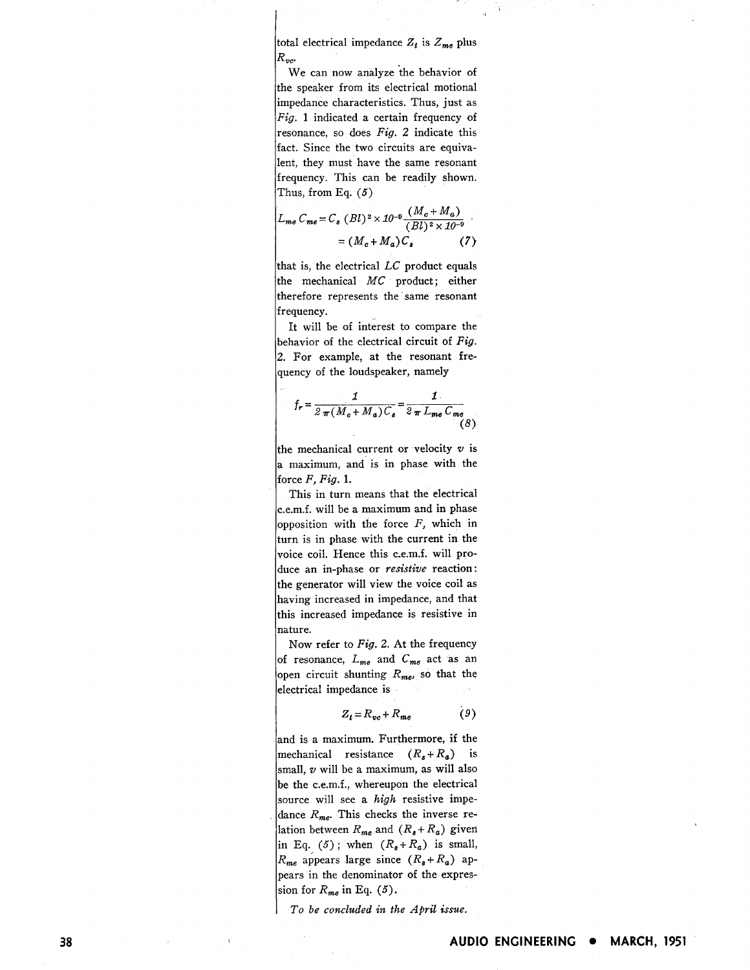total electrical impedance  $Z_t$  is  $Z_{me}$  plus *Rvc-*

We can now analyze 'the behavior of the speaker from its electrical motional impedance characteristics. Thus, just as *Fig.* 1 indicated a certain frequency of resonance, so does *Fig.* 2 indicate this fact. Since the two circuits are equivalent, they must have the same resonant frequency. This can be readily shown. Thus, from Eq. *(5)* 

$$
L_{me} C_{me} = C_s (Bl)^2 \times 10^{-9} \frac{(M_c + M_a)}{(Bl)^2 \times 10^{-9}}
$$
  
=  $(M_c + M_a) C_s$  (7)

that is, the electrical  $LC$  product equals the mechanical *MC* product; either therefore represents the same resonant frequency.

It will be of interest to compare the behavior of the electrical circuit of **Fig.**  2. For example, at the resonant frequency of the loudspeaker, namely

$$
f_r = \frac{1}{2 \pi (M_c + M_a) C_s} = \frac{1}{2 \pi L_{me} C_{me}}
$$
(8)

the mechanical current or velocity  $v$  is a maximum, and is in phase with the force *F, Fig.* 1.

This in turn means that the electrical c.e.m.f. will be a maximum and in phase opposition with the force *F,* which in turn is in phase with the current in the voice coil. Hence this c.e.m.f. will produce an in-phase or *resistive* reaction: the generator will view the voice coil as having increased in impedance, and that this increased impedance is resistive in nature.

Now refer to *Fig.* 2. At the frequency of resonance,  $L_{me}$  and  $C_{me}$  act as an open circuit shunting  $R_{me}$ , so that the electrical impedance is

$$
Z_t = R_{vc} + R_{me} \tag{9}
$$

and is a maximum. Furthermore, if the mechanical resistance  $(R_s + R_a)$  is small, *v* will be a maximum, as will also be the c.e.m.f., whereupon the electrical source will see a *high* resistive impedance  $R_{me}$ . This checks the inverse relation between  $R_{me}$  and  $(R_s + R_a)$  given in Eq. (5); when  $(R_s + R_a)$  is small,  $R_{me}$  appears large since  $(R_s + R_a)$  appears in the denominator of the expression for  $R_{me}$  in Eq.  $(5)$ .

*To be concluded in the* **April** *issue.*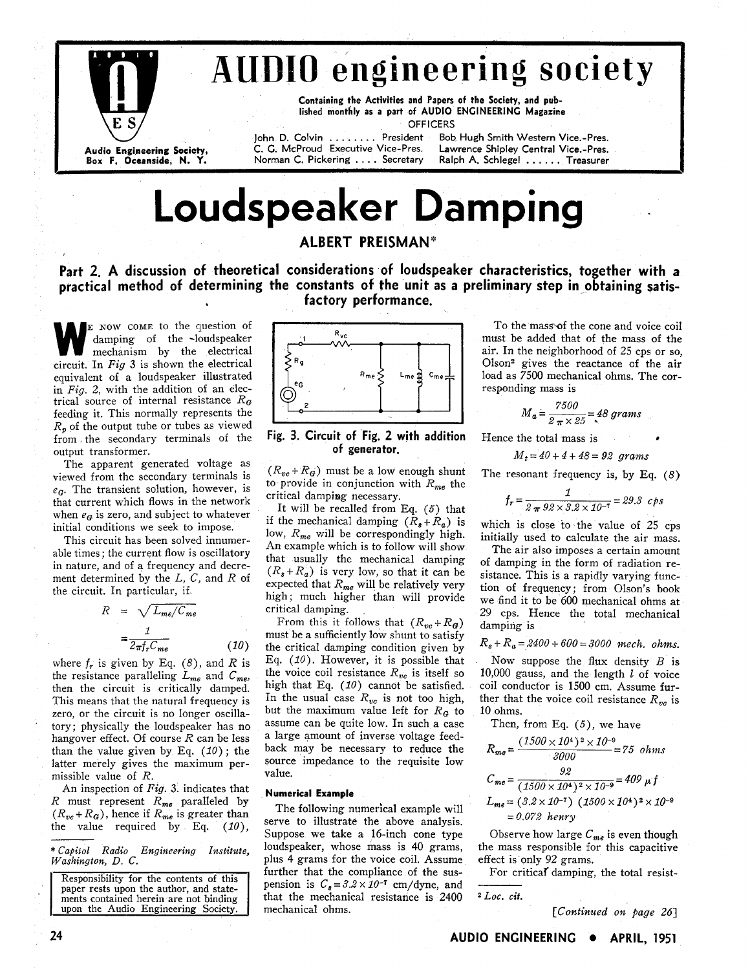

# **AUDIO engineering society**

**Containing the Activities and Papers of the Society, and published monthly as a part of AUDIO ENGINEERING Magazine OFFICERS** 

John D. Colvin . . . . . . . . President Bob Hugh Smith Western Vice.-Pres.<br>C. G. McProud Executive Vice-Pres. Lawrence Shipley Central Vice.-Pres.

**Audio Engineering Society, C. C. McProud Executive Vice-Pres. Lawrence Shipley Central Vice.-Pres. Box F. Oceanside. N. Y. Norman C. Pickering** . . . . **Secretary Ralph A. Schlegel** . . . . . . **Treasurer** 

# **Loudspeaker Damping**

## **ALBERT PREISMAN"**

## **Part 2. A discussion of theoretical considerations of loudspeaker characteristics, together with a practical method of determining the constants of the unit as a preliminary step in obtaining satisfactory performance.**

**E** NOW COME to the question of damping of the -loudspeaker mechanism by the electrical damping of the -loudspeaker circuit. In *Fig* **3** is shown the electrical equivalent of a loudspeaker illustrated in *Fig.* 2, with the addition of an electrical source of internal resistance *RG*  feeding it. This normally represents the  $R_p$  of the output tube or tubes as viewed<br>from the secondary terminals of the **Fig. 3. Circuit of Fig. 2 with addition** Hence the total mass is from the secondary terminals of the **Fig. 3. Circuit of Fig. 2 with addition** Hence the total mass is output transformer.<br>**8** *M<sub>L</sub>* **= 40 + 4 + 48 – 99 arg** 

or generator.<br>The apparent generated voltage as  $(R_{ve} + R_g)$  must be a low enough shunt The resonant frequency is, by Eq. (8) viewed from the secondary terminals is  $(x_0 + x_0)$  must be a low enough shunt  $\kappa_{me}$  the resonant solution, bowever, is  $e_g$ . The transient solution, however, is  $\frac{10 \text{ proune}}{\text{critical damping necessary}}$ that current which flows in the network damping necessary.<br>When  $e_G$  is zero, and subject to whatever<br>the intime and the impose of the impose in the mechanical damping  $(R_s + R_a)$  is when  $e_G$  is zero, and subject to whatever<br>if the mechanical damping  $(R_s + R_a)$  is<br>initial conditions we seek to impose.

$$
\epsilon = \sqrt{L_{me}/C_{me}}
$$

$$
= \frac{1}{2\pi f_r C_{me}}
$$
(1)

then the circuit is critically damped. high that Eq.  $(10)$  cannot be satisfied. This means that the natural frequency is  $\frac{1}{2}$  in the usual case  $R_{vo}$  is not too high, hangover effect. Of course  $R$  can be less a large amount of inverse voltage feed-<br>than the value given by Eq.  $(10)$ ; the back may be necessary to reduce the than the value given by Eq.  $(10)$ ; the back may be necessary to reduce the latter merely gives the maximum per-<br>
source impedance to the requisite low

missible value of *R*.<br>An inspection of *Fig.* 3. indicates that **Numerical Example** R must represent  $R_{me}$  paralleled by **Little Communical** example will  $(P_{1}, P_{2})$  hopes if  $P_{1}$  is exactor than  $(R_{we} + R_G)$ , hence if  $R_{me}$  is greater than The following numerical example will

Responsibility for the contents of this paper rests upon the author, and statements contained herein are **not** binding



when  $e_G$  is zero, and subject to whatever<br>if the mechanical damping  $(R_s + R_a)$  is which is close to the value of 25 cps<br>initially used to calculate the air mass.<br>This circuit has been solved innumer-<br>that usually the mecha expected that  $R_{me}$  will be relatively very high; much higher than will provide

From this it follows that  $(R_{vc} + R_g)$  damping is<br>  $= \frac{1}{2\pi f_r C_{me}}$  (10) the critical damping condition given by  $R_s + R_a = 2400 + 600 = 3000$  mech. ohms. where  $f_r$  is given by Eq. (8), and *R* is Eq. (10). However, it is possible that Now suppose the flux density *B* is the resistance paralleling  $L_{me}$  and  $C_{me}$ , the voice coil resistance  $R_{ve}$  is itself so 10,000 gaus the voice coil resistance  $R_{vo}$  is itself so 10,000 gauss, and the length *I* of voice high that Eq. (10) cannot be satisfied. coil conductor is 1500 cm. Assume fur-This means that the natural frequency is In the usual case  $R_{vo}$  is not too high, ther that the voice coil resistance  $R_{vo}$  is zero, or the circuit is no longer oscilla-<br>but the maximum value left for  $R_G$  to 10 ohms. but the maximum value left for  $R_G$  to 10 ohms.<br>assume can be quite low. In such a case Then, from Eq. (5), we have tory; physically the loudspeaker has no assume can be quite low. In such a case Then, from hangover effect. Of course  $R$  can be less a large amount of inverse voltage feed (1500) source impedance to the requisite low<br>value.

serve to illustrate the above analysis. the value required by Eq. (10), serve to inustrate the above analysis.<br>
Suppose we take a 16-inch cone type Observe how large  $C_{me}$  is even though \* *Capitol Radio Engineering Institute*, <sup>100</sup>/, <sup>200</sup>/, *Suppose we take a 16-inch cone type* Observe how large  $C_{me}$  is even though <br>\* *Capitol Radio Engineering Institute*, <sup>1</sup> loudspeaker, whose mass is 40 grams, the plus 4 grams for the voice coil. Assume effect is only 92 grams.<br>
further that the compliance of the sus-<br>
For critical damping, the total resistfurther that the compliance of the sus-<br>pension is  $C_s = 3.2 \times 10^{-7}$  cm/dyne, and perference impedance to the requisite low<br>
value.<br> **Numerical Example**<br>
The following numerical example will<br>
serve to illustrate the above analysis.<br>
Suppose we take a 16-inch cone type<br>
Cone is  $L_{me} = (3.2 \times 10^{-7})$ <br>
Supp mechanical ohms. *[Continued on page 26]* 

To the mass of the cone and voice coil must be added that of the mass of the air. In the neighborhood of 25 cps or so, Olson2 gives the reactance of the air load as 7500 mechanical ohms. The corresponding mass is

$$
M_a = \frac{7500}{2 \pi \times 25} = 48 \text{ grams}
$$

$$
f_r = \frac{1}{2 \pi 92 \times 3.2 \times 10^{-7}} = 29.3 \text{ cps}
$$

able times; the current flow is oscillatory<br>in nature, and of a frequency and decre-<br>ment determined by the L, C, and R of<br>expressed that  $P$  will be negligible some sistance. This is a rapidly varying funcment determined by the *L, C,* and *R* of  $(R_s + R_a)$  is very low, so that it can be sistance. This is a rapidly varying func-<br>the circuit. In particular, if<br>high much high much high and  $\frac{1}{2}$  is very low to f frequency; high; much higher than will provide we find it to be 600 mechanical ohms at critical damping.  $R = \sqrt{L_{me}/C_{me}}$  critical damping. 29 cps. Hence the total mechanical From this it follows that  $(R_{ve} + R_g)$  damping is

rnissible value of R. value. *C* - *<sup>92</sup>***-=409,f**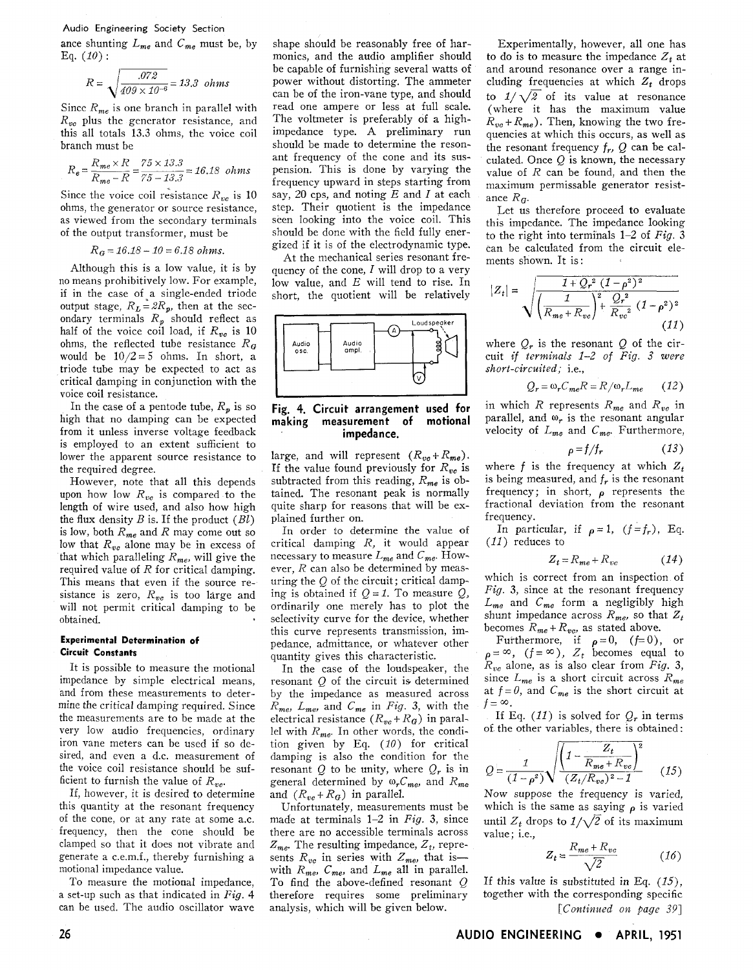## Audio Engineering Society Section ance shunting  $L_{me}$  and  $C_{me}$  must be, by Eq. *(20)* :

$$
R = \sqrt{\frac{.072}{409 \times 10^{-6}}} = 13.3 \text{ ohms}
$$

Since  $R_{me}$  is one branch in parallel with  $R_{ve}$  plus the generator resistance, and this all totals *13.3* ohms, the voice coil branch must be

$$
R_e = \frac{R_{me} \times R}{R_{me} - R} = \frac{75 \times 13.3}{75 - 13.3} = 16.18 \text{ ohms}
$$

Since the voice coil resistance  $R_{vc}$  is 10 ohms, the generator or source resistance, as viewed from the secondary terminals of the output transformer, must be

$$
R_G = 16.18 - 10 = 6.18 \text{ ohms.}
$$

Although this is a low value, it is by no means prohibitively low. For example, if in the case of-a single-ended triode output stage,  $R_L = 2R_p$ , then at the secondary terminals  $R_p$  should reflect as half of the voice coil load, if  $R_{ve}$  is 10 ohms, the reflected tube resistance  $R_g$ would be  $10/2 = 5$  ohms. In short, a triode tube may be expected to act as critical damping in conjunction with the voice coil resistance.

In the case of a pentode tube,  $R_p$  is so high that no damping can be expected from it unless inverse voltage feedback is employed to an extent sufficient to lower the apparent source resistance to the required degree.

However, note that all this depends upon how low  $R_{nc}$  is compared to the length of wire used, and also how high the flux density *B* is. If the product *(BI)*  is low, both  $R_{me}$  and  $R$  may come out so low that  $R_{ve}$  alone may be in excess of that which paralleling  $R_{me}$ , will give the required value of *R* for critical damping. This means that even if the source resistance is zero,  $R_{nc}$  is too large and will not permit critical damping to be obtained.

### **Experimental Determination of Circuit Constants**

It is possible to measure the motional impedance by simple electrical means, and from these measurements to determine the critical damping required. Since the measurements are to be made at the very low audio frequencies, ordinary iron vane meters can be used if so desired, and even a d.c. measurement of the voice coil resistance should be sufficient to furnish the value of  $R_{nc}$ .

If, however, it is desired to determine this quantity at the resonant frequency of the cone, or at any rate at some a.c. frequency, then the cone should be clamped so that it does not vibrate and generate a c.e.m.f., thereby furnishing a motional impedance value.

To measure the motional impedance, a set-up such as that indicated in *Fig.* 4 can be used. The audio oscillator wave shape should be reasonably free of harmonics, and the audio amplifier should be capable of furnishing several watts of power without distorting. The ammeter can be of the iron-vane type, and should read one ampere or less at full scale. The voltmeter is preferably of a highimpedance type. A preliminary run should be made to determine the resonant frequency of the cone and its suspension. This is done by varying the frequency upward in steps starting from say, 20 cps, and noting E and *I* at each step. Their quotient is the impedance seen looking into the voice coil. This should be done with the field fully energized if it is of the electrodynamic type.

At the mechanical series resonant frequency of the cone,  $I$  will drop to a very low value, and E will tend to rise. In short, the quotient will be relatively



**Fig. 4. Circuit arrangement used for making measurement of motional impedance.** 

large, and will represent  $(R_{vo} + R_{me})$ . If the value found previously for  $R_{vc}$  is subtracted from this reading,  $R_{me}$  is obtained. The resonant peak is normally quite sharp for reasons that will be explained further on.

In order to determine the value *of*  critical damping *R,* it would appear necessary to measure  $L_{me}$  and  $C_{me}$ . However, *R* can also be determined by measuring the Q of the circuit; critical damping is obtained if  $Q = 1$ . To measure  $Q$ , ordinarily one merely has to plot the selectivity curve for the device, whether this curve represents transmission, impedance, admittance, or whatever other quantity gives this characteristic.

In the case of the loudspeaker, the resonant  $Q$  of the circuit is determined by the impedance as measured across *R,,, L,,,* and *C,,* in *Fig. 3,* with the electrical resistance  $(R_{vc} + R_G)$  in parallel with  $R_{me}$ . In other words, the condition given by Eq. *(10)* for critical damping is also the condition for the resonant  $Q$  to be unity, where  $Q_r$  is in general determined by  $\omega_r C_{me}$ , and  $R_{me}$ and  $(R_{vc} + R_q)$  in parallel.

Unfortunately, measurements must be made at terminals 1-2 in *Fig.* **3,** since there are no accessible terminals across  $Z_{me}$ . The resulting impedance,  $Z_t$ , represents  $R_{vc}$  in series with  $Z_{me}$ , that iswith  $R_{me}$ ,  $C_{me}$ , and  $L_{me}$  all in parallel. To find the above-defined resonant *Q*  therefore requires some preliminary analysis, which will be given below.

Experimentally, however, all one has to do is to measure the impedance  $Z_t$  at and around resonance over a range including frequencies at which  $Z_t$  drops to  $1/\sqrt{2}$  of its value at resonance (where it has the maximum value  $R_{ve} + R_{me}$ ). Then, knowing the two frequencies at which this occurs, as well as the resonant frequency  $f_r$ , Q can be calculated. Once *Q* is known, the necessary value of *R* can be found, and then the maximum permissable generator resistance  $Ra$ .

Let us therefore proceed to evaluate this impedance. The impedance looking to the right into terminals 1-2 of *Fig.* 3 can be calculated from the circuit elements shown. It is:

$$
|Z_t| = \sqrt{\frac{1 + Q_r^2 (1 - \rho^2)^2}{\left(\frac{1}{R_{me} + R_{vo}}\right)^2 + \frac{Q_r^2}{R_{vo}^2} (1 - \rho^2)^2}}
$$
(11)

where  $Q_r$  is the resonant  $Q$  of the circuit *if terminals 1-2 of Fig. 3 were short-circuited;* i.e.,

$$
Q_r = \omega_r C_{me} R = R/\omega_r L_{me}
$$
 (12)

in which *R* represents  $R_{me}$  and  $R_{ve}$  in parallel, and  $\omega_r$  is the resonant angular velocity of  $L_{me}$  and  $C_{me}$ . Furthermore,

$$
\rho = f/f_r \tag{13}
$$

where  $f$  is the frequency at which  $Z_t$ is being measured, and *f,* is the resonant frequency; in short,  $\rho$  represents the fractional deviation from the resonant frequency.

In particular, if  $\rho = 1$ ,  $(f = f_r)$ , Eq. *(11)* reduces to

$$
Z_t = R_{me} + R_{vo} \tag{14}
$$

which is correct from an inspection of *Fig.* 3, since at the resonant frequency  $L_{me}$  and  $C_{me}$  form a negligibly high shunt impedance across  $R_{me}$ , so that  $Z_t$ becomes  $R_{me} + R_{vc}$ , as stated above.

Furthermore, if  $\rho = 0$ ,  $(f=0)$ , or  $= \infty$ ,  $(f = \infty)$ ,  $Z_t$  becomes equal to *R,,* alone, as is also clear from *Fig. 3,*  since  $L_{me}$  is a short circuit across  $R_{me}$ at  $f = 0$ , and  $C_{me}$  is the short circuit at  $f=\infty$ .

If Eq.  $(11)$  is solved for  $Q_r$  in terms of the other variables, there is obtained:

$$
Q = \frac{1}{(1 - \rho^2)} \sqrt{\frac{\left(1 - \frac{Z_t}{R_{me} + R_{vo}}\right)^2}{(Z_t/R_{vo})^2 - 1}} \qquad (15)
$$

Now suppose the frequency is varied, which is the same as saying  $\rho$  is varied until  $Z_t$  drops to  $1/\sqrt{2}$  of its maximum value: i.e..

$$
Z_t = \frac{R_{me} + R_{vc}}{\sqrt{2}}\tag{16}
$$

If this value is substituted in Eq. *(15),*  together with the corresponding specific *[Continz~ed out page 391*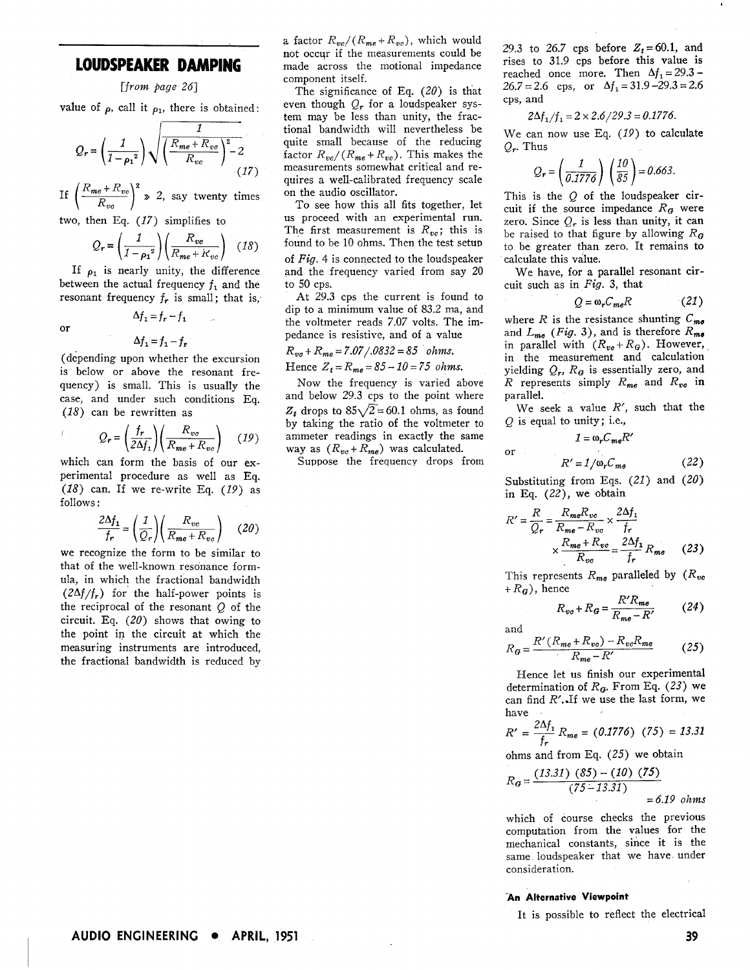## **LOUDSPEAKER DAMPING**

*[from page 261* 

value of  $\rho$ , call it  $\rho_1$ , there is obtained:

$$
Q_r = \left(\frac{1}{1 - \rho_1^2}\right) \sqrt{\frac{1}{\left(\frac{R_{me} + R_{vc}}{R_{vo}}\right)^2 - 2}}
$$
\n<sup>(17)</sup>

If  $\left(\frac{K_{me} + K_{vo}}{R_{vo}}\right)^2 \gg 2$ , say twenty times

two, then Eq. *(17)* simplifies to

$$
Q_r = \left(\frac{1}{1 - \rho_1^2}\right) \left(\frac{R_{vo}}{R_{me} + K_{vo}}\right) \quad (18)
$$

If  $\rho_1$  is nearly unity, the difference between the actual frequency *f,* and the resonant frequency  $f_r$  is small; that is,

$$
\Delta f_1 = f_r - f_1
$$

$$
\mathsf{or}
$$

 $\Delta f_1 = f_1 - f_r$ (depending upon whether the excursion is below or above the resonant frequency) is small. This is usually the case, and under such conditions Eq.

(18) can be rewritten as  
\n
$$
Q_r = \left(\frac{f_r}{2\Delta f_1}\right) \left(\frac{R_{vc}}{R_{me} + R_{vc}}\right) \quad (19)
$$

which can form the basis of our experimental procedure as well as Eq. *(18)* can. If we re-write Eq. *(19)* as follows :

$$
\frac{2\Delta f_1}{f_r} = \left(\frac{1}{Q_r}\right) \left(\frac{R_{vc}}{R_{me} + R_{vc}}\right) \quad (20)
$$

we recognize the form to be similar to that of the well-known resonance formula, in which the fractional bandwidth  $(2\Delta f/f_r)$  for the half-power points is the reciprocal of the resonant *Q* of the circuit. Eq. *(20)* shows that owing to the point in the circuit at which the measuring instruments are introduced, the fractional bandwidth is reduced by a factor  $R_{vc}/(R_{me} + R_{vc})$ , which would not occyr if the measurements could be made across the motional impedance component itself.

The significance of Eq. *(20)* is that even though  $Q_r$  for a loudspeaker system may be less than unity, the fractional bandwidth will nevertheless be quite small because of the reducing factor  $R_{ve}/(R_{me} + R_{ve})$ . This makes the measurements somewhat critical and requires a well-calibrated frequency scale on the audio oscillator.

To see how this all fits together, let us proceed with an experimental run. The first measurement is  $R_{vc}$ ; this is found to be 10 ohms. Then the test setup of *Fig.* 4 is connected to the loudspeaker and the frequency varied from say 20 to 50 cps.

At 29.3 cps the current is found to dip to a minimum value of 83.2 ma, and the voltmeter reads 7.07 volts. The impedance is resistive, and of a value

 $R_{vo} + R_{me} = 7.07 / .0832 = 85$  ohms. Hence  $Z_t = R_{me} = 85 - 10 = 75$  ohms.

Now the frequency is varied above and below 29.3 cps to the point where  $Z_t$  drops to  $85\sqrt{2} = 60.1$  ohms, as found by taking the ratio of the voltmeter to ammeter readings in exactly the same way as  $(R_{vc} + R_{me})$  was calculated.

Suppose the frequency drops from

29.3 to 26.7 cps before 
$$
Z_t = 60.1
$$
, and rises to 31.9 cps before this value is reached once more. Then  $\Delta f_1 = 29.3 - 26.7 = 2.6$  cps, or  $\Delta f_1 = 31.9 - 29.3 = 2.6$  cps, and

$$
2\Delta f_1/f_1 = 2 \times 2.6/29.3 = 0.1776.
$$

We can now use Eq. *(19)* to calculate  $Q_r$ . Thus

$$
Q_r = \left(\frac{1}{0.1776}\right) \left(\frac{10}{85}\right) = 0.663.
$$

This is the Q of the loudspeaker circuit if the source impedance  $R_G$  were zero. Since  $Q_r$  is less than unity, it can be raised to that figure by allowing  $R_{\rm g}$ to be greater than zero. It remains to calculate this value.

We have, for a parallel resonant circuit such as in *Fig.* 3, that

$$
Q = \omega_r C_{me} R \tag{21}
$$

where *R* is the resistance shunting  $C_{m\phi}$ and  $L_{me}$  (Fig. 3), and is therefore  $R_{me}$ in parallel with  $(R_{vo} + R_G)$ . However, in the measurement and calculation yielding  $Q_r$ ,  $R_q$  is essentially zero, and *R* represents simply  $R_{me}$  and  $R_{ve}$  in parallel.

We seek a value *R',* such that the *Q* is equal to unity; i.e.,

$$
1=\omega_r C_{me} R'
$$

or 
$$
R' = 1/\omega_r C_{me}
$$
 (22)

Substituting from Eqs. *(21)* and *(20)*  in Eq. *(22),* we obtain

$$
R' = \frac{R}{Q_r} = \frac{R_{me}R_{vo}}{R_{me} - R_{vo}} \times \frac{2\Delta f_1}{f_r}
$$

$$
\times \frac{R_{me} + R_{vo}}{R_{vo}} = \frac{2\Delta f_1}{f_r} R_{me} \qquad (23)
$$

This represents  $R_{me}$  paralleled by  $(R_{vo} + R_G)$ , hence<br>  $R_{vo} + R_G = \frac{R'R_{me}}{R_{me} - R'}$  (24)  $+R_G$ ), hence

$$
R_{vo} + R_g = \frac{K' K_{me}}{R_{me} - R'} \qquad (24)
$$

and

$$
R_{\mathbf{G}} = \frac{R'(R_{me} + R_{vo}) - R_{ve}R_{me}}{R_{me} - R'} \tag{25}
$$

Hence let us finish our experimental determination of  $R_{\text{c}}$ . From Eq. (23) we can find *R'*. If we use the last form, we have<br>  $R' = \frac{2\Delta f_1}{f_r} R_{\text{me}} = (0.1776) (75) = 13.31$ can find  $R'$ . If we use the last form, we have  $\sim$ 

$$
R' = \frac{2\Delta f_1}{f_r} R_{me} = (0.1776) (75) = 13.31
$$

ohms and from Eq. *(25)* we obtain

$$
R_G = \frac{(13.31) (85) - (10) (75)}{(75 - 13.31)} = 6.19 \text{ ohms}
$$

which of course checks the previous computation from the values for the mechanical constants, since it is the same loudspeaker that we have under consideration.

### **-An Alternative Viewpoint**

It is possible to reflect the electrical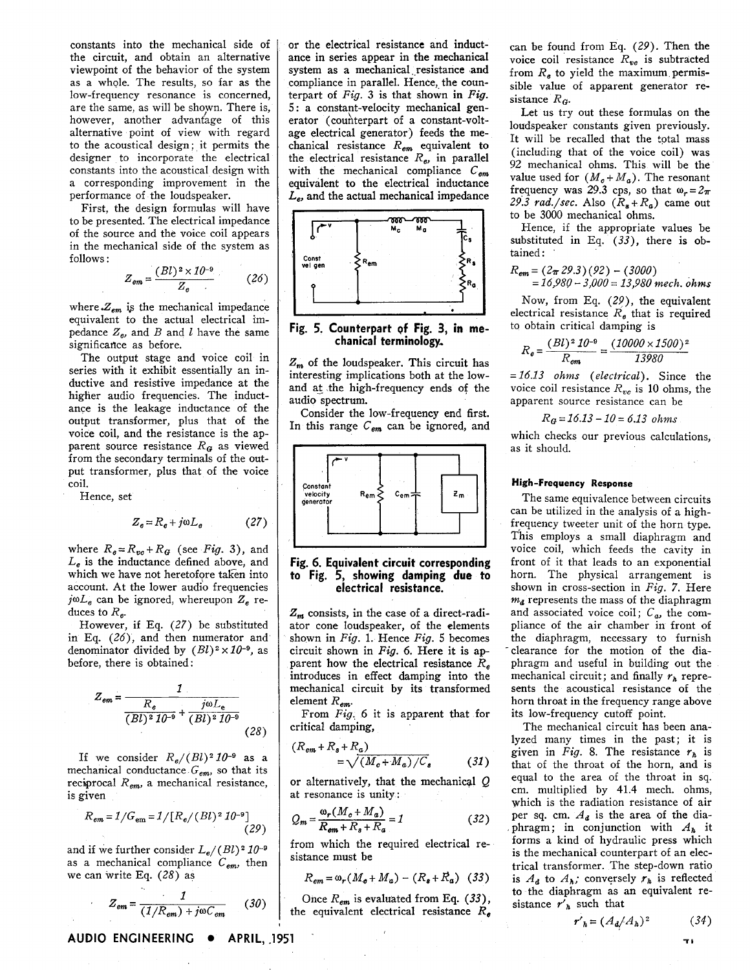constants into the mechanical side of the circuit, and obtain an alternative viewpoint of the behavior of the system as a whole. The results, so far as the low-frequency resonance is concerned, are the same, as will be shown. There is, however, another advantage of this alternative point of view with regard to the acoustical design; it permits the designer to incorporate the electrical constants into the acoustical design with a corresponding improvement in the performance of the loudspeaker.

First, the design formulas will have to be presented. The electrical impedance of the source and the voice coil appears in the mechanical side of the system as follows :

$$
Z_{em} = \frac{(Bl)^2 \times 10^{-9}}{Z_e} \tag{26}
$$

where  $Z_{em}$  is the mechanical impedance equivalent to the actual electrical impedance  $Z_e$ , and B and l have the same significance as before.

The output stage and voice coil in series with it exhibit essentially an inductive and resistive impedance at the higher audio frequencies. The inductance is the leakage inductance of the output transformer, plus that of the voice coil, and the resistance is the apparent source resistance  $R_{\mathbf{G}}$  as viewed from the secondary terminals of the output transformer, plus that of the voice coil.

Hence, set

$$
Z_e = R_e + j\omega L_e \qquad (27)
$$

where  $R_e = R_{vo} + R_q$  (see Fig. 3), and  $L_e$  is the inductance defined above, and which we have not heretofore taken into account. At the lower audio frequencies  $j\omega L_e$  can be ignored, whereupon  $Z_e$  reduces to  $R_e$ .

However, if Eq. (27) be substituted in Eq. (26), and then numerator and denominator divided by  $(Bl)^2 \times 10^{-9}$ , as before, there is obtained :

$$
Z_{em} = \frac{1}{\frac{R_e}{(Bl)^2 10^{-9}} + \frac{j\omega L_e}{(Bl)^2 10^{-9}}}
$$
(28)

If we consider  $R_e/(Bl)^2 10^{-9}$  as a mechanical conductance  $G_{em}$ , so that its reciprocal  $R_{em}$ , a mechanical resistance, is given

$$
R_{em} = 1/G_{em} = 1/[R_e/(Bl)^2 10^{-9}]
$$
 (29)

and if we further consider  $L_e/(Bl)^2 10^{-9}$ as a mechanical compliance  $C_{em}$ , then we can write Eq. (28) as

$$
Z_{em} = \frac{1}{(1/R_{em}) + j\omega C_{em}} \qquad (30)
$$

or the electrical resistance and inductance in series appear in the mechanical system as a mechanical resistance and compliance in parallel. Hence, the counterpart of  $Fig. 3$  is that shown in Fig.  $5: a constant-velocity mechanical gen$ erator (counterpart of a constant-voltage electrical generator) feeds the mechanical resistance  $R_{em}$  equivalent to the electrical resistance  $R_{e}$ , in parallel with the mechanical compliance  $C_{em}$ equivalent to the electrical inductance  $L_e$ , and the actual mechanical impedance



**Fig. 5. Counterpart qf Fig. 3, in mechanical terminology,** 

 $Z_m$  of the loudspeaker. This circuit has interesting implications both at the lowand at the high-frequency ends of the audio spectrum.

Consider the low-frequency end first. In this range  $C_{em}$  can be ignored, and



## **Fig. 6. Equivalent circuit corresponding to Fig. 5, showing damping due to electrical resistance.**

 $Z_m$  consists, in the case of a direct-radiator cone loudspeaker, of the elements shown in Fig. 1. Hence Fig. 5 becomes circuit shown in Fig. *6.* Here it is apparent how the electrical resistance  $R_e$ introduces in effect damping into the mechanical circuit by its transformed element  $R_{em}$ .

From Fig. 6 it is apparent that for critical damping,

$$
(R_{em} + R_s + R_a)
$$
  
=  $\sqrt{(M_c + M_a)/C_s}$  (31)

or alternatively, that the mechanical Q at resonance is unity:

$$
Q_m = \frac{\omega_r (M_c + M_a)}{R_{em} + R_s + R_a} = 1
$$
 (32)

from which the required electrical resistance must be

 $R_{em} = \omega_r (M_c + M_a) - (R_s + R_a)$  (33)

Once  $R_{em}$  is evaluated from Eq. (33), the equivalent electrical resistance  $R_e$ 

can be found from Eq. (29). Then the voice coil resistance  $R_{vo}$  is subtracted from  $R_e$  to yield the maximum permissible value of apparent generator resistance  $R_{\alpha}$ .

Let us try out these formulas on the loudspeaker constants given previously. It will be recalled that the total mass (including that of the voice coil) was 92 mechanical ohms. This will be the value used for  $(M_o + M_a)$ . The resonant frequency was 29.3 cps, so that  $\omega_r = 2\pi$ 29.3 rad./sec. Also  $(R_{\rm s}+R_{\rm a})$  came out to be 3000 mechanical ohms.

Hence, if the appropriate values be substituted in Eq.  $(33)$ , there is obtained:

$$
R_{em} = (2\pi 29.3)(92) - (3000)
$$
  
= 16,980 - 3,000 = 13,980 mech. ohms

Now, from Eq. (29), the equivalent electrical resistance  $R_e$  that is required to obtain critical damping is

$$
R_e = \frac{(Bl)^2 10^{-9}}{R_{em}} = \frac{(10000 \times 1500)^2}{13980}
$$

 $= 16.13$  ohms (electrical). Since the voice coil resistance  $R_{ve}$  is 10 ohms, the apparent source resistance can be

 $R_g = 16.13 - 10 = 6.13$  ohms

which checks our previous calculations, as it should.

### **High-Frequency Response**

The same equivalence between circuits can be utilized in the analysis of a highfrequency tweeter unit of the horn type. This employs a small diaphragm and voice coil, which feeds the cavity in front of it that leads to an exponential horn. The physical arrangement is shown in cross-section in  $Fig. 7$ . Here  $m_d$  represents the mass of the diaphragm and associated voice coil;  $C_a$ , the compliance of the air chamber in front of the diaphragm, necessary to furnish -clearance for the motion of the diaphragm and useful in building out the mechanical circuit; and finally  $r_h$  represents the acoustical resistance of the horn throat in the frequency range above its low-frequency cutoff point.

The mechanical circuit has been analyzed many times in the past; it is given in Fig. 8. The resistance  $r_h$  is that of the throat of the horn, and is equal to the area of the throat in sq. cm. multiplied by 41.4 mech. ohms, which is the radiation resistance of air per sq. cm.  $A_d$  is the area of the diaphragm; in conjunction with  $A_h$  it forms a kind of hydraulic press which is the mechanical counterpart of an electrical transformer. The step-down ratio is  $A_{d}$  to  $A_{h}$ ; conversely  $r_{h}$  is reflected to the diaphragm as an equivalent resistance  $r'_h$  such that

$$
r'_{h} = (A_{d}/A_{h})^{2} \qquad (34)
$$

**AUDIO ENGINEERING . APRIL, 1951**